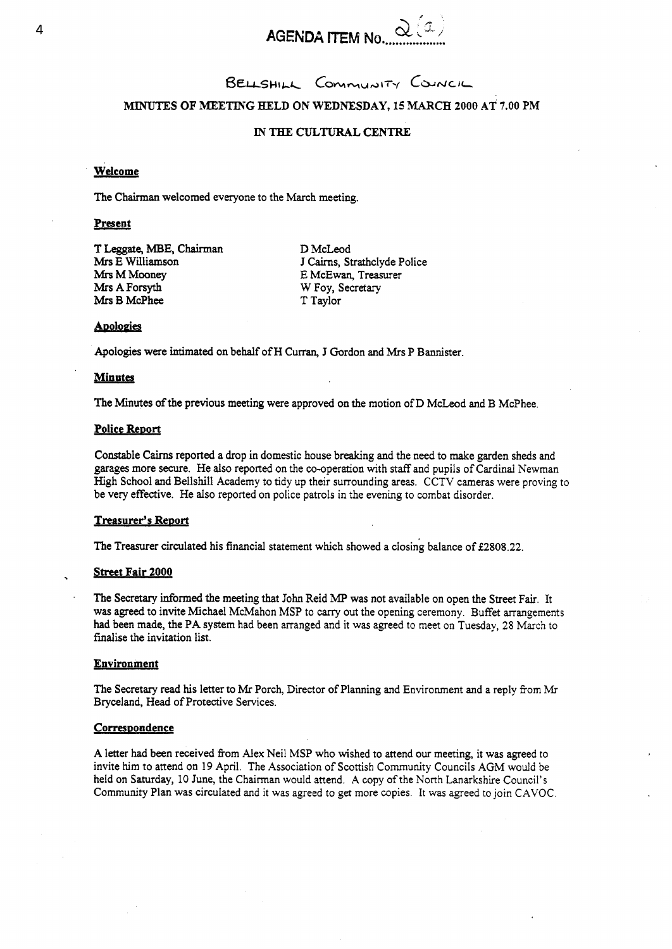

 $B$ ELLSHILL COMMUNITY COUNCIL

**MINUTES OF MEETING HELD ON WEDNESDAY, 15 MARCH 2000 AT 7.00 PM** 

### **IN** THE **CULTURAL CENTRE**

### **Welcome**

The Chairman welcomed everyone to the March meeting. **Welcome**<br>The Chairman we<br>**Present**<br>T Leggate, MBE,

T **Leggate, MBE,** Chairman **Mrs** E Wdliamson **Mrs** M Mooney **Mrs A Forsyth Mrs B** McPhee

D McLeod J **Cairns,** Strathclyde Police E McEwan, Treasurer W Foy, Secretary T Taylor

#### **Apologies**

Apologies were intimated on behalf of H Curran, **J** Gordon and *Mrs* P Bannister.

### **Minutes**

The Minutes of the previous meeting were approved on the motion of D McLeod and B McPhee.

### **Police ReDort**

Constable Cairns reported a drop in domestic house breaking and the need to make garden sheds and garages more secure. He also reported on the co-operation with staff and pupils of Cardinal Newman High School and Bellshill Academy to tidy up their surrounding areas. CCTV cameras were proving to be very effective. He also reported on police patrols in the evening to combat disorder.

### **Treasurer's ReDort**

The Treasurer circulated his financial statement which showed a closing balance of **€2808.22.** 

### **Street Fair 2000**

. The *Secretary* informed the meeting that **John** Reid *MP* was not available on open the Street Fair. It was agreed to invite Michael McMahon MSP to carry **out** the opening ceremony. Buffet arrangements had been made, the PA system had been arranged and it was agreed to meet on Tuesday, **28** March to fmalise the invitation list.

#### **Environment**

The Secretary read **his** letter to **Mr** Porch, Director of Planning and Environment and a reply from **Mr**  Bryceland, Head of Protective Services.

#### Correspondence

**A** letter had been received fiom Alex Neil MSP who wished to attend **our** meeting, it was agreed to invite him to attend **on** 19 April. The Association of Scottish Community Councils AGM would be held on Saturday, 10 June, the Chairman would attend. A copy of the North Lanarkshire Council's Community Plan was circulated and it was agreed to get more copies. It was agreed to join CAVOC.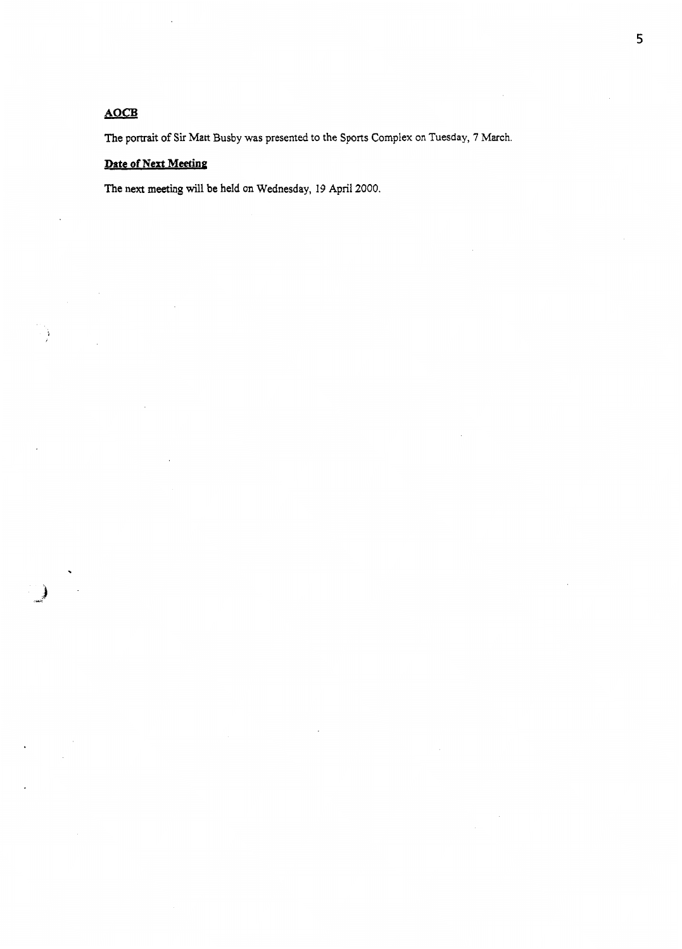### *AOCB*

**The** portrait **of** *Sir* Matt **Busby was presented** to **the Sports Complex** on **[Tuesday, 7](#page-3-0)** March.

## **Date of Next Meeting**

The **next** meeting will **be held on Wednesday, 19 April 2000.**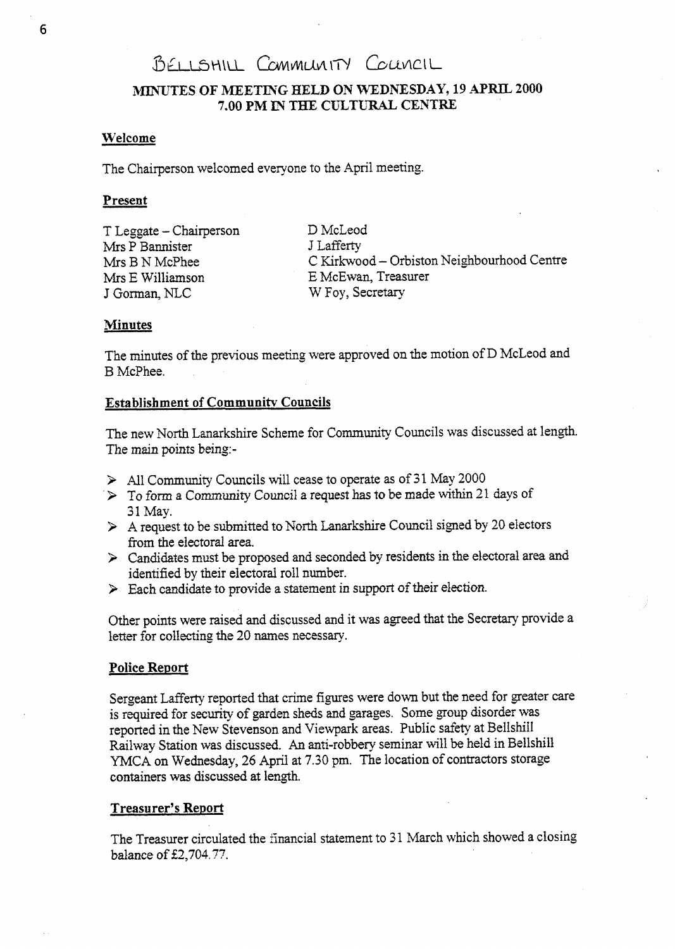# BELLSHILL COMMUNITY COUNCIL

### **MINUTES OF MEETING HELD ON WEDNESDAY, 19** *APRIL* **2000 7.00 PM XN** THE **CULTURAL CENTRE:**

### **Welcome**

The Chairperson welcomed everyone to the April meeting.

### Present

T Leggate - Chairperson Mrs P Bannister J Lafferty Mrs B N McPhee Mrs E Williamson J Gorman, NLC

D McLeod C Kirkwood - Orbiston Neighbourhood Centre E McEwan, Treasurer W Foy, Secretary

### **Minutes**

The minutes of the previous meeting were approved on the motion of D McLeod and B McPhee.

### **Establishment of Communitv Councils**

The new North Lanarkshire Scheme for Community Councils was discussed at length. The **main** points being-

- > All Community Councils will cease to operate as of **3** 1 May 2000
- **3** To form a Community Council a request has to be made within 21 days of 31 May.
- *3* **A** request to be submitted to North Lanarkshire Council signed by 20 electors from the electoral area.
- *3* Candidates must be proposed and seconded by residents in the electoral area *ctnd*  identified by their electoral roll number.
- *3* Each candidate to provide a statement in support of their election.

Other points were raised and discussed and it was agreed that the Secretary provide a letter for collecting the 20 names necessary.

### **Police Report**

Sergeant LafTerty reported that crime figures were down but the need for greater care is required for *security* of garden sheds and garages. Some **group** disorder was reported in the New Stevenson and Viewpark areas. Public safety at BelIshiIl Railway Station was discussed. An anti-robbery seminar will be held in Bellshill YMCA on Wednesday, 26 April at 7.30 pm. The location of contractors storage containers was discussed at length.

### **Treasurer's Report**

The Treasurer circulated the financial statement to 31 March which showed a closing balance of **f2,7M.** *77.*